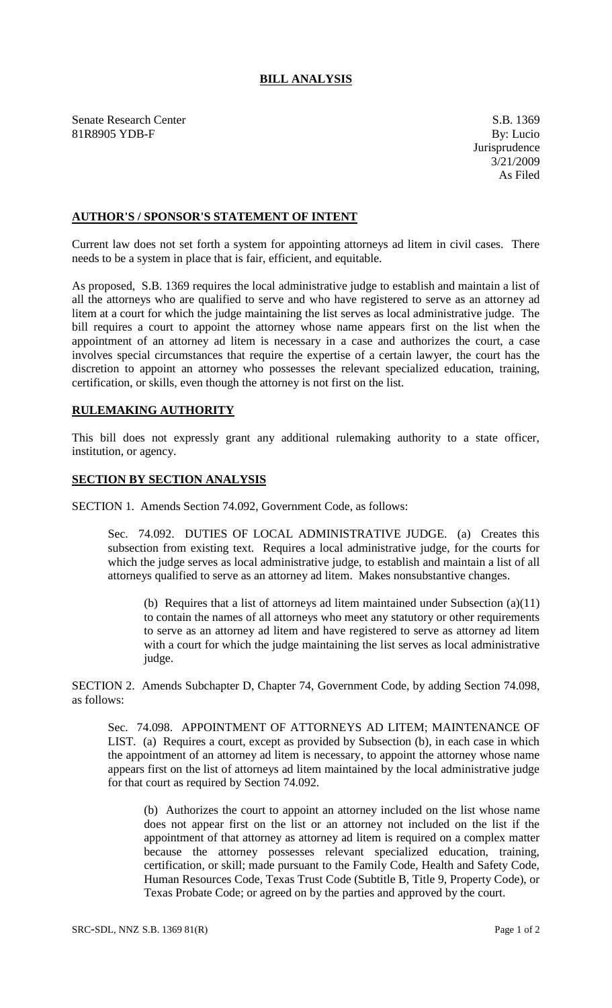## **BILL ANALYSIS**

Senate Research Center S.B. 1369 81R8905 YDB-F By: Lucio

## **AUTHOR'S / SPONSOR'S STATEMENT OF INTENT**

Current law does not set forth a system for appointing attorneys ad litem in civil cases. There needs to be a system in place that is fair, efficient, and equitable.

As proposed, S.B. 1369 requires the local administrative judge to establish and maintain a list of all the attorneys who are qualified to serve and who have registered to serve as an attorney ad litem at a court for which the judge maintaining the list serves as local administrative judge. The bill requires a court to appoint the attorney whose name appears first on the list when the appointment of an attorney ad litem is necessary in a case and authorizes the court, a case involves special circumstances that require the expertise of a certain lawyer, the court has the discretion to appoint an attorney who possesses the relevant specialized education, training, certification, or skills, even though the attorney is not first on the list.

## **RULEMAKING AUTHORITY**

This bill does not expressly grant any additional rulemaking authority to a state officer, institution, or agency.

## **SECTION BY SECTION ANALYSIS**

SECTION 1. Amends Section 74.092, Government Code, as follows:

Sec. 74.092. DUTIES OF LOCAL ADMINISTRATIVE JUDGE. (a) Creates this subsection from existing text. Requires a local administrative judge, for the courts for which the judge serves as local administrative judge, to establish and maintain a list of all attorneys qualified to serve as an attorney ad litem. Makes nonsubstantive changes.

(b) Requires that a list of attorneys ad litem maintained under Subsection (a)(11) to contain the names of all attorneys who meet any statutory or other requirements to serve as an attorney ad litem and have registered to serve as attorney ad litem with a court for which the judge maintaining the list serves as local administrative judge.

SECTION 2. Amends Subchapter D, Chapter 74, Government Code, by adding Section 74.098, as follows:

Sec. 74.098. APPOINTMENT OF ATTORNEYS AD LITEM; MAINTENANCE OF LIST. (a) Requires a court, except as provided by Subsection (b), in each case in which the appointment of an attorney ad litem is necessary, to appoint the attorney whose name appears first on the list of attorneys ad litem maintained by the local administrative judge for that court as required by Section 74.092.

(b) Authorizes the court to appoint an attorney included on the list whose name does not appear first on the list or an attorney not included on the list if the appointment of that attorney as attorney ad litem is required on a complex matter because the attorney possesses relevant specialized education, training, certification, or skill; made pursuant to the Family Code, Health and Safety Code, Human Resources Code, Texas Trust Code (Subtitle B, Title 9, Property Code), or Texas Probate Code; or agreed on by the parties and approved by the court.